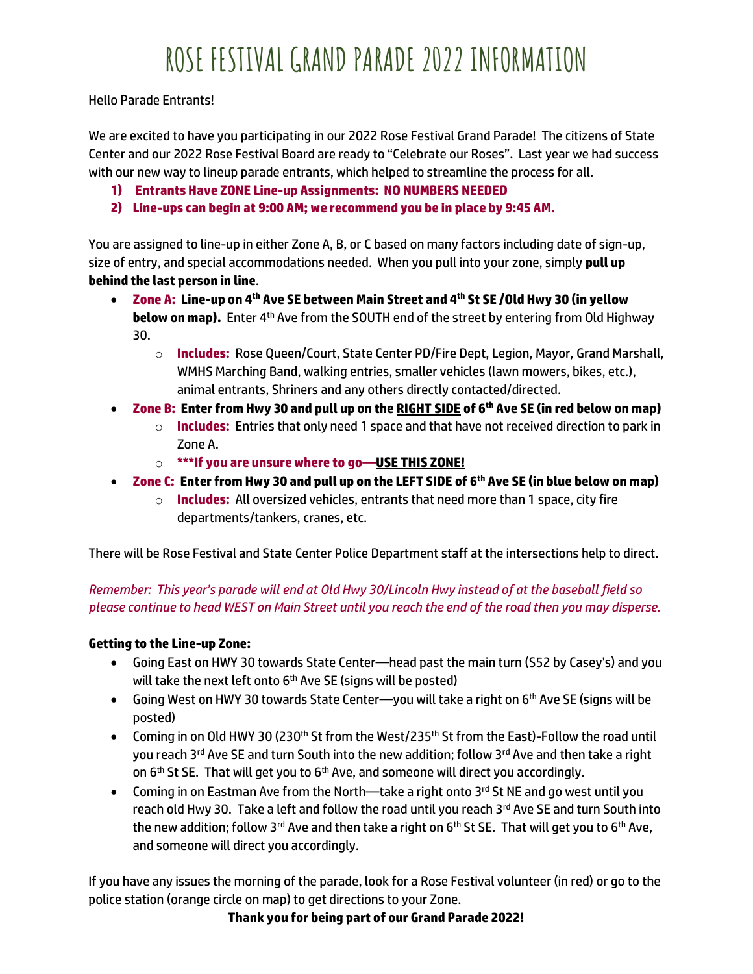Hello Parade Entrants!

We are excited to have you participating in our 2022 Rose Festival Grand Parade! The citizens of State Center and our 2022 Rose Festival Board are ready to "Celebrate our Roses". Last year we had success with our new way to lineup parade entrants, which helped to streamline the process for all.

- **1) Entrants Have ZONE Line-up Assignments: NO NUMBERS NEEDED**
- **2) Line-ups can begin at 9:00 AM; we recommend you be in place by 9:45 AM.**

You are assigned to line-up in either Zone A, B, or C based on many factors including date of sign-up, size of entry, and special accommodations needed. When you pull into your zone, simply **pull up behind the last person in line**.

- **Zone A: Line-up on 4th Ave SE between Main Street and 4th St SE /Old Hwy 30 (in yellow below on map).** Enter 4<sup>th</sup> Ave from the SOUTH end of the street by entering from Old Highway 30.
	- o **Includes:** Rose Queen/Court, State Center PD/Fire Dept, Legion, Mayor, Grand Marshall, WMHS Marching Band, walking entries, smaller vehicles (lawn mowers, bikes, etc.), animal entrants, Shriners and any others directly contacted/directed.
- **Zone B: Enter from Hwy 30 and pull up on the RIGHT SIDE of 6th Ave SE (in red below on map)**
	- o **Includes:** Entries that only need 1 space and that have not received direction to park in Zone A.
	- o **\*\*\*If you are unsure where to go—USE THIS ZONE!**
- **Zone C: Enter from Hwy 30 and pull up on the LEFT SIDE of 6th Ave SE (in blue below on map)**
	- o **Includes:** All oversized vehicles, entrants that need more than 1 space, city fire departments/tankers, cranes, etc.

There will be Rose Festival and State Center Police Department staff at the intersections help to direct.

*Remember: This year's parade will end at Old Hwy 30/Lincoln Hwy instead of at the baseball field so please continue to head WEST on Main Street until you reach the end of the road then you may disperse.*

## **Getting to the Line-up Zone:**

- Going East on HWY 30 towards State Center—head past the main turn (S52 by Casey's) and you will take the next left onto 6<sup>th</sup> Ave SE (signs will be posted)
- Going West on HWY 30 towards State Center—you will take a right on 6<sup>th</sup> Ave SE (signs will be posted)
- Coming in on Old HWY 30 (230<sup>th</sup> St from the West/235<sup>th</sup> St from the East)-Follow the road until you reach 3<sup>rd</sup> Ave SE and turn South into the new addition; follow 3<sup>rd</sup> Ave and then take a right on 6<sup>th</sup> St SE. That will get you to 6<sup>th</sup> Ave, and someone will direct you accordingly.
- Coming in on Eastman Ave from the North—take a right onto 3rd St NE and go west until you reach old Hwy 30. Take a left and follow the road until you reach 3rd Ave SE and turn South into the new addition; follow 3rd Ave and then take a right on 6<sup>th</sup> St SE. That will get you to 6<sup>th</sup> Ave, and someone will direct you accordingly.

If you have any issues the morning of the parade, look for a Rose Festival volunteer (in red) or go to the police station (orange circle on map) to get directions to your Zone.